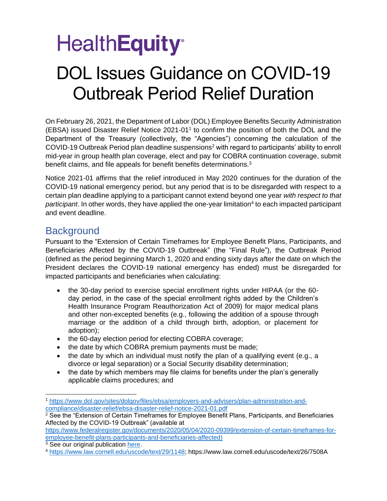# **HealthEquity**<sup>®</sup>

## DOL Issues Guidance on COVID-19 Outbreak Period Relief Duration

On February 26, 2021, the Department of Labor (DOL) Employee Benefits Security Administration (EBSA) issued Disaster Relief Notice 2021-01<sup>1</sup> to confirm the position of both the DOL and the Department of the Treasury (collectively, the "Agencies") concerning the calculation of the COVID-19 Outbreak Period plan deadline suspensions<sup>2</sup> with regard to participants' ability to enroll mid-year in group health plan coverage, elect and pay for COBRA continuation coverage, submit benefit claims, and file appeals for benefit benefits determinations.<sup>3</sup>

Notice 2021-01 affirms that the relief introduced in May 2020 continues for the duration of the COVID-19 national emergency period, but any period that is to be disregarded with respect to a certain plan deadline applying to a participant cannot extend beyond one year *with respect to that*  participant. In other words, they have applied the one-year limitation<sup>4</sup> to each impacted participant and event deadline.

### **Background**

Pursuant to the "Extension of Certain Timeframes for Employee Benefit Plans, Participants, and Beneficiaries Affected by the COVID-19 Outbreak" (the "Final Rule"), the Outbreak Period (defined as the period beginning March 1, 2020 and ending sixty days after the date on which the President declares the COVID-19 national emergency has ended) must be disregarded for impacted participants and beneficiaries when calculating:

- the 30-day period to exercise special enrollment rights under HIPAA (or the 60 day period, in the case of the special enrollment rights added by the Children's Health Insurance Program Reauthorization Act of 2009) for major medical plans and other non-excepted benefits (e.g., following the addition of a spouse through marriage or the addition of a child through birth, adoption, or placement for adoption);
- the 60-day election period for electing COBRA coverage;
- the date by which COBRA premium payments must be made;
- the date by which an individual must notify the plan of a qualifying event (e.g., a divorce or legal separation) or a Social Security disability determination;
- the date by which members may file claims for benefits under the plan's generally applicable claims procedures; and

[https://www.federalregister.gov/documents/2020/05/04/2020-09399/extension-of-certain-timeframes-for](https://www.federalregister.gov/documents/2020/05/04/2020-09399/extension-of-certain-timeframes-for-employee-benefit-plans-participants-and-beneficiaries-affected)[employee-benefit-plans-participants-and-beneficiaries-affected\)](https://www.federalregister.gov/documents/2020/05/04/2020-09399/extension-of-certain-timeframes-for-employee-benefit-plans-participants-and-beneficiaries-affected)

<sup>1</sup> [https://www.dol.gov/sites/dolgov/files/ebsa/employers-and-advisers/plan-administration-and](https://www.dol.gov/sites/dolgov/files/ebsa/employers-and-advisers/plan-administration-and-compliance/disaster-relief/ebsa-disaster-relief-notice-2021-01.pdf)[compliance/disaster-relief/ebsa-disaster-relief-notice-2021-01.pdf](https://www.dol.gov/sites/dolgov/files/ebsa/employers-and-advisers/plan-administration-and-compliance/disaster-relief/ebsa-disaster-relief-notice-2021-01.pdf)

 $2$  See the "Extension of Certain Timeframes for Employee Benefit Plans, Participants, and Beneficiaries Affected by the COVID-19 Outbreak" (available at

<sup>&</sup>lt;sup>3</sup> See our original publication [here.](https://drq94yec07kda.cloudfront.net/cares/COVID%20Relief.pdf)

<sup>4</sup> [https://www.law.cornell.edu/uscode/text/29/1148;](https://www.law.cornell.edu/uscode/text/29/1148) https://www.law.cornell.edu/uscode/text/26/7508A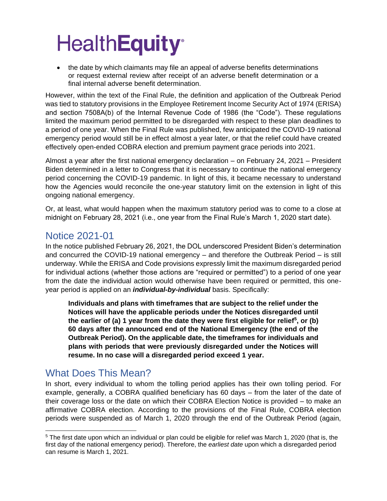• the date by which claimants may file an appeal of adverse benefits determinations or request external review after receipt of an adverse benefit determination or a final internal adverse benefit determination.

However, within the text of the Final Rule, the definition and application of the Outbreak Period was tied to statutory provisions in the Employee Retirement Income Security Act of 1974 (ERISA) and section 7508A(b) of the Internal Revenue Code of 1986 (the "Code"). These regulations limited the maximum period permitted to be disregarded with respect to these plan deadlines to a period of one year. When the Final Rule was published, few anticipated the COVID-19 national emergency period would still be in effect almost a year later, or that the relief could have created effectively open-ended COBRA election and premium payment grace periods into 2021.

Almost a year after the first national emergency declaration – on February 24, 2021 – President Biden determined in a letter to Congress that it is necessary to continue the national emergency period concerning the COVID-19 pandemic. In light of this, it became necessary to understand how the Agencies would reconcile the one-year statutory limit on the extension in light of this ongoing national emergency.

Or, at least, what would happen when the maximum statutory period was to come to a close at midnight on February 28, 2021 (i.e., one year from the Final Rule's March 1, 2020 start date).

### Notice 2021-01

In the notice published February 26, 2021, the DOL underscored President Biden's determination and concurred the COVID-19 national emergency – and therefore the Outbreak Period – is still underway. While the ERISA and Code provisions expressly limit the maximum disregarded period for individual actions (whether those actions are "required or permitted") to a period of one year from the date the individual action would otherwise have been required or permitted, this oneyear period is applied on an *individual-by-individual* basis. Specifically:

**Individuals and plans with timeframes that are subject to the relief under the Notices will have the applicable periods under the Notices disregarded until the earlier of (a) 1 year from the date they were first eligible for relief<sup>5</sup> , or (b) 60 days after the announced end of the National Emergency (the end of the Outbreak Period). On the applicable date, the timeframes for individuals and plans with periods that were previously disregarded under the Notices will resume. In no case will a disregarded period exceed 1 year.**

## What Does This Mean?

In short, every individual to whom the tolling period applies has their own tolling period. For example, generally, a COBRA qualified beneficiary has 60 days – from the later of the date of their coverage loss or the date on which their COBRA Election Notice is provided – to make an affirmative COBRA election. According to the provisions of the Final Rule, COBRA election periods were suspended as of March 1, 2020 through the end of the Outbreak Period (again,

<sup>5</sup> The first date upon which an individual or plan could be eligible for relief was March 1, 2020 (that is, the first day of the national emergency period). Therefore, the *earliest date* upon which a disregarded period can resume is March 1, 2021.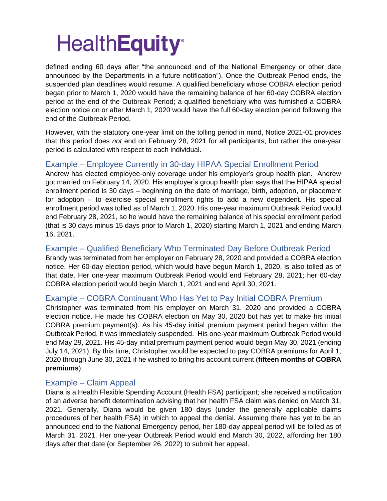defined ending 60 days after "the announced end of the National Emergency or other date announced by the Departments in a future notification"). Once the Outbreak Period ends, the suspended plan deadlines would resume. A qualified beneficiary whose COBRA election period began prior to March 1, 2020 would have the remaining balance of her 60-day COBRA election period at the end of the Outbreak Period; a qualified beneficiary who was furnished a COBRA election notice on or after March 1, 2020 would have the full 60-day election period following the end of the Outbreak Period.

However, with the statutory one-year limit on the tolling period in mind, Notice 2021-01 provides that this period does *not* end on February 28, 2021 for all participants, but rather the one-year period is calculated with respect to each individual.

#### Example – Employee Currently in 30-day HIPAA Special Enrollment Period

Andrew has elected employee-only coverage under his employer's group health plan. Andrew got married on February 14, 2020. His employer's group health plan says that the HIPAA special enrollment period is 30 days – beginning on the date of marriage, birth, adoption, or placement for adoption – to exercise special enrollment rights to add a new dependent. His special enrollment period was tolled as of March 1, 2020. His one-year maximum Outbreak Period would end February 28, 2021, so he would have the remaining balance of his special enrollment period (that is 30 days minus 15 days prior to March 1, 2020) starting March 1, 2021 and ending March 16, 2021.

#### Example – Qualified Beneficiary Who Terminated Day Before Outbreak Period

Brandy was terminated from her employer on February 28, 2020 and provided a COBRA election notice. Her 60-day election period, which would have begun March 1, 2020, is also tolled as of that date. Her one-year maximum Outbreak Period would end February 28, 2021; her 60-day COBRA election period would begin March 1, 2021 and end April 30, 2021.

#### Example – COBRA Continuant Who Has Yet to Pay Initial COBRA Premium

Christopher was terminated from his employer on March 31, 2020 and provided a COBRA election notice. He made his COBRA election on May 30, 2020 but has yet to make his initial COBRA premium payment(s). As his 45-day initial premium payment period began within the Outbreak Period, it was immediately suspended. His one-year maximum Outbreak Period would end May 29, 2021. His 45-day initial premium payment period would begin May 30, 2021 (ending July 14, 2021). By this time, Christopher would be expected to pay COBRA premiums for April 1, 2020 through June 30, 2021 if he wished to bring his account current (**fifteen months of COBRA premiums**).

#### Example – Claim Appeal

Diana is a Health Flexible Spending Account (Health FSA) participant; she received a notification of an adverse benefit determination advising that her health FSA claim was denied on March 31, 2021. Generally, Diana would be given 180 days (under the generally applicable claims procedures of her health FSA) in which to appeal the denial. Assuming there has yet to be an announced end to the National Emergency period, her 180-day appeal period will be tolled as of March 31, 2021. Her one-year Outbreak Period would end March 30, 2022, affording her 180 days after that date (or September 26, 2022) to submit her appeal.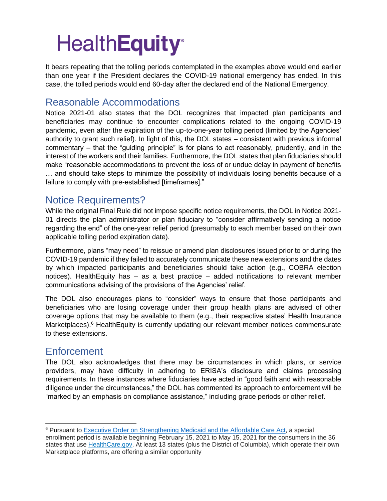It bears repeating that the tolling periods contemplated in the examples above would end earlier than one year if the President declares the COVID-19 national emergency has ended. In this case, the tolled periods would end 60-day after the declared end of the National Emergency.

### Reasonable Accommodations

Notice 2021-01 also states that the DOL recognizes that impacted plan participants and beneficiaries may continue to encounter complications related to the ongoing COVID-19 pandemic, even after the expiration of the up-to-one-year tolling period (limited by the Agencies' authority to grant such relief). In light of this, the DOL states – consistent with previous informal commentary – that the "guiding principle" is for plans to act reasonably, prudently, and in the interest of the workers and their families. Furthermore, the DOL states that plan fiduciaries should make "reasonable accommodations to prevent the loss of or undue delay in payment of benefits … and should take steps to minimize the possibility of individuals losing benefits because of a failure to comply with pre-established [timeframes]."

### Notice Requirements?

While the original Final Rule did not impose specific notice requirements, the DOL in Notice 2021- 01 directs the plan administrator or plan fiduciary to "consider affirmatively sending a notice regarding the end" of the one-year relief period (presumably to each member based on their own applicable tolling period expiration date).

Furthermore, plans "may need" to reissue or amend plan disclosures issued prior to or during the COVID-19 pandemic if they failed to accurately communicate these new extensions and the dates by which impacted participants and beneficiaries should take action (e.g., COBRA election notices). HealthEquity has – as a best practice – added notifications to relevant member communications advising of the provisions of the Agencies' relief.

The DOL also encourages plans to "consider" ways to ensure that those participants and beneficiaries who are losing coverage under their group health plans are advised of other coverage options that may be available to them (e.g., their respective states' Health Insurance Marketplaces).<sup>6</sup> HealthEquity is currently updating our relevant member notices commensurate to these extensions.

### **Enforcement**

The DOL also acknowledges that there may be circumstances in which plans, or service providers, may have difficulty in adhering to ERISA's disclosure and claims processing requirements. In these instances where fiduciaries have acted in "good faith and with reasonable diligence under the circumstances," the DOL has commented its approach to enforcement will be "marked by an emphasis on compliance assistance," including grace periods or other relief.

<sup>6</sup> Pursuant to [Executive Order on Strengthening Medicaid and the Affordable Care Act,](file:///C:/Users/jdietel/AppData/Local/Microsoft/Windows/INetCache/Content.Outlook/EJC5KQI0/Executve%20Order) a special enrollment period is available beginning February 15, 2021 to May 15, 2021 for the consumers in the 36 states that use [HealthCare.gov.](https://healthcare.gov/) At least 13 states (plus the District of Columbia), which operate their own Marketplace platforms, are offering a similar opportunity